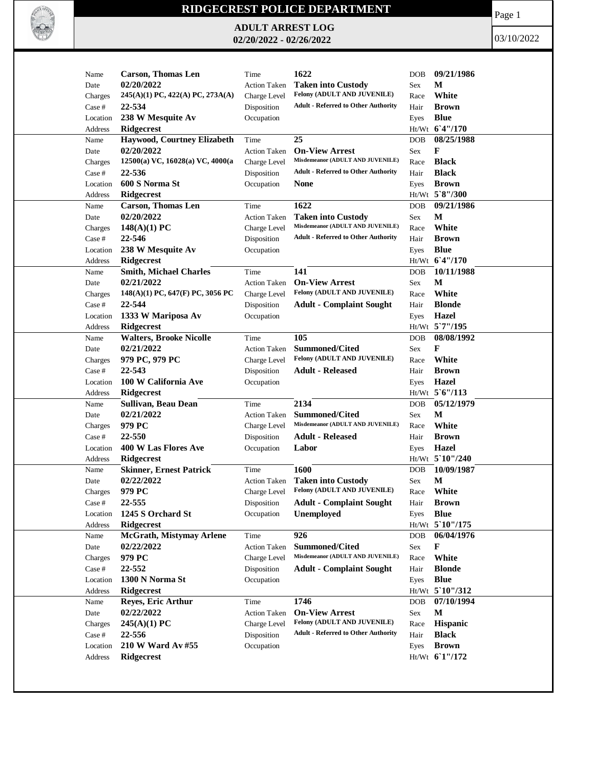

## **RIDGECREST POLICE DEPARTMENT**

**ADULT ARREST LOG 02/20/2022 - 02/26/2022**

Page 1

03/10/2022

| Name     | <b>Carson, Thomas Len</b>        | Time                | 1622                                       | DOB        | 09/21/1986      |
|----------|----------------------------------|---------------------|--------------------------------------------|------------|-----------------|
| Date     | 02/20/2022                       | <b>Action Taken</b> | <b>Taken into Custody</b>                  | Sex        | М               |
| Charges  | 245(A)(1) PC, 422(A) PC, 273A(A) | Charge Level        | Felony (ADULT AND JUVENILE)                | Race       | White           |
| Case #   | 22-534                           | Disposition         | <b>Adult - Referred to Other Authority</b> | Hair       | <b>Brown</b>    |
| Location | 238 W Mesquite Av                | Occupation          |                                            | Eyes       | <b>Blue</b>     |
| Address  | <b>Ridgecrest</b>                |                     |                                            |            | Ht/Wt 6'4"/170  |
| Name     | Haywood, Courtney Elizabeth      | Time                | 25                                         | DOB        | 08/25/1988      |
| Date     | 02/20/2022                       | Action Taken        | <b>On-View Arrest</b>                      | Sex        | F               |
| Charges  | 12500(a) VC, 16028(a) VC, 4000(a | Charge Level        | Misdemeanor (ADULT AND JUVENILE)           | Race       | <b>Black</b>    |
| Case #   | 22-536                           | Disposition         | <b>Adult - Referred to Other Authority</b> | Hair       | <b>Black</b>    |
| Location | 600 S Norma St                   | Occupation          | None                                       | Eyes       | <b>Brown</b>    |
| Address  | Ridgecrest                       |                     |                                            |            | Ht/Wt 5`8"/300  |
| Name     | <b>Carson, Thomas Len</b>        | Time                | 1622                                       | DOB        | 09/21/1986      |
| Date     | 02/20/2022                       | <b>Action Taken</b> | <b>Taken into Custody</b>                  | Sex        | М               |
| Charges  | $148(A)(1)$ PC                   | Charge Level        | Misdemeanor (ADULT AND JUVENILE)           | Race       | White           |
| Case #   | 22-546                           | Disposition         | <b>Adult - Referred to Other Authority</b> | Hair       | <b>Brown</b>    |
| Location | 238 W Mesquite Av                | Occupation          |                                            | Eyes       | <b>Blue</b>     |
| Address  | <b>Ridgecrest</b>                |                     |                                            |            | Ht/Wt 6'4"/170  |
| Name     | <b>Smith, Michael Charles</b>    | Time                | 141                                        | <b>DOB</b> | 10/11/1988      |
| Date     | 02/21/2022                       | <b>Action Taken</b> | <b>On-View Arrest</b>                      | Sex        | M               |
| Charges  | 148(A)(1) PC, 647(F) PC, 3056 PC | Charge Level        | Felony (ADULT AND JUVENILE)                | Race       | White           |
| Case #   | 22-544                           | Disposition         | <b>Adult - Complaint Sought</b>            | Hair       | <b>Blonde</b>   |
| Location | 1333 W Mariposa Av               | Occupation          |                                            | Eyes       | <b>Hazel</b>    |
| Address  | Ridgecrest                       |                     |                                            |            | Ht/Wt 5`7"/195  |
| Name     | <b>Walters, Brooke Nicolle</b>   | Time                | 105                                        | DOB        | 08/08/1992      |
| Date     | 02/21/2022                       | Action Taken        | <b>Summoned/Cited</b>                      | Sex        | F               |
| Charges  | 979 PC, 979 PC                   | Charge Level        | Felony (ADULT AND JUVENILE)                | Race       | White           |
| Case #   | 22-543                           | Disposition         | <b>Adult - Released</b>                    | Hair       | <b>Brown</b>    |
| Location | 100 W California Ave             | Occupation          |                                            | Eyes       | <b>Hazel</b>    |
| Address  | <b>Ridgecrest</b>                |                     |                                            |            | Ht/Wt 5'6"/113  |
| Name     | Sullivan, Beau Dean              | Time                | 2134                                       | DOB        | 05/12/1979      |
| Date     | 02/21/2022                       | <b>Action Taken</b> | <b>Summoned/Cited</b>                      | Sex        | М               |
| Charges  | 979 PC                           | Charge Level        | Misdemeanor (ADULT AND JUVENILE)           | Race       | White           |
| Case #   | 22-550                           | Disposition         | <b>Adult - Released</b>                    | Hair       | <b>Brown</b>    |
| Location | 400 W Las Flores Ave             | Occupation          | Labor                                      | Eyes       | Hazel           |
| Address  | <b>Ridgecrest</b>                |                     |                                            |            | Ht/Wt 5 10"/240 |
| Name     | <b>Skinner, Ernest Patrick</b>   | Time                | 1600                                       | <b>DOB</b> | 10/09/1987      |
| Date     | 02/22/2022                       | <b>Action Taken</b> | <b>Taken into Custody</b>                  | Sex        | $\mathbf{M}$    |
| Charges  | 979 PC                           | Charge Level        | Felony (ADULT AND JUVENILE)                | Race       | White           |
| Case #   | 22-555                           | Disposition         | <b>Adult - Complaint Sought</b>            | Hair       | <b>Brown</b>    |
| Location | 1245 S Orchard St                | Occupation          | <b>Unemployed</b>                          | Eyes       | <b>Blue</b>     |
| Address  | <b>Ridgecrest</b>                |                     |                                            |            | Ht/Wt 5`10"/175 |
| Name     | McGrath, Mistymay Arlene         | Time                | 926                                        | DOB        | 06/04/1976      |
| Date     | 02/22/2022                       | Action Taken        | <b>Summoned/Cited</b>                      | Sex        | F               |
| Charges  | 979 PC                           | Charge Level        | Misdemeanor (ADULT AND JUVENILE)           | Race       | White           |
| Case #   | 22-552                           | Disposition         | <b>Adult - Complaint Sought</b>            | Hair       | <b>Blonde</b>   |
| Location | 1300 N Norma St                  | Occupation          |                                            | Eyes       | <b>Blue</b>     |
| Address  | <b>Ridgecrest</b>                |                     |                                            |            | Ht/Wt 5`10"/312 |
| Name     | Reyes, Eric Arthur               | Time                | 1746                                       | DOB        | 07/10/1994      |
| Date     | 02/22/2022                       | <b>Action Taken</b> | <b>On-View Arrest</b>                      | Sex        | М               |
| Charges  | 245(A)(1) PC                     | Charge Level        | Felony (ADULT AND JUVENILE)                | Race       | Hispanic        |
| Case #   | 22-556                           | Disposition         | <b>Adult - Referred to Other Authority</b> | Hair       | <b>Black</b>    |
| Location | 210 W Ward Av #55                | Occupation          |                                            | Eyes       | <b>Brown</b>    |
| Address  | Ridgecrest                       |                     |                                            |            | Ht/Wt 61"/172   |
|          |                                  |                     |                                            |            |                 |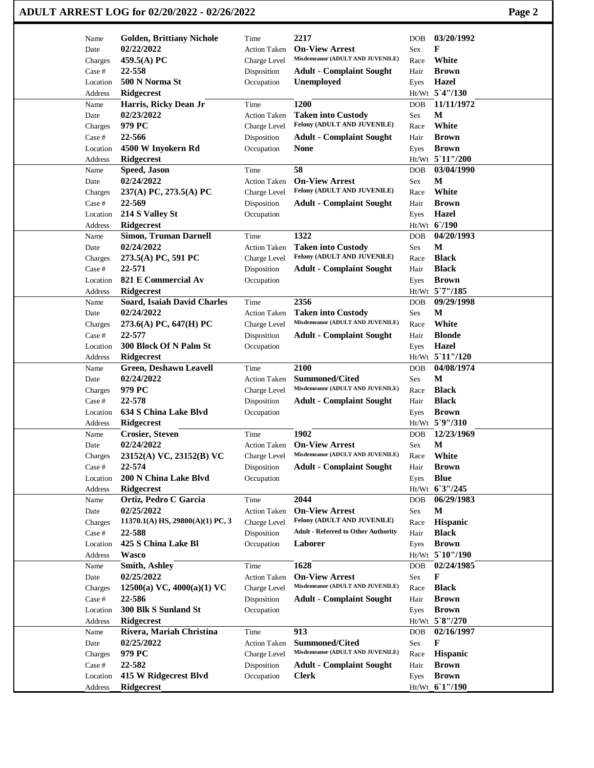| ADULT ARREST LOG for 02/20/2022 - 02/26/2022 | Page 2 |
|----------------------------------------------|--------|
|----------------------------------------------|--------|

| Name               | <b>Golden, Brittiany Nichole</b> | Time                      | 2217                                                 | <b>DOB</b> | 03/20/1992                        |
|--------------------|----------------------------------|---------------------------|------------------------------------------------------|------------|-----------------------------------|
| Date               | 02/22/2022                       | <b>Action Taken</b>       | <b>On-View Arrest</b>                                | Sex        | $\mathbf{F}$                      |
| Charges            | 459.5(A) PC                      | Charge Level              | Misdemeanor (ADULT AND JUVENILE)                     | Race       | White                             |
| Case #             | 22-558                           | Disposition               | <b>Adult - Complaint Sought</b>                      | Hair       | <b>Brown</b>                      |
| Location           | 500 N Norma St                   | Occupation                | <b>Unemployed</b>                                    | Eyes       | <b>Hazel</b>                      |
| Address            | <b>Ridgecrest</b>                |                           |                                                      |            | Ht/Wt 5'4"/130                    |
| Name               | Harris, Ricky Dean Jr            | Time                      | 1200                                                 | <b>DOB</b> | 11/11/1972                        |
| Date               | 02/23/2022                       | Action Taken              | <b>Taken into Custody</b>                            | Sex        | $\mathbf M$                       |
|                    |                                  |                           | Felony (ADULT AND JUVENILE)                          |            | White                             |
| Charges            | 979 PC                           | Charge Level              |                                                      | Race       |                                   |
| Case #             | 22-566                           | Disposition               | <b>Adult - Complaint Sought</b>                      | Hair       | <b>Brown</b>                      |
| Location           | 4500 W Inyokern Rd               | Occupation                | <b>None</b>                                          | Eyes       | <b>Brown</b>                      |
| Address            | <b>Ridgecrest</b>                |                           |                                                      |            | Ht/Wt 5'11"/200                   |
| Name               | <b>Speed, Jason</b>              | Time                      | 58                                                   | <b>DOB</b> | 03/04/1990                        |
| Date               | 02/24/2022                       | <b>Action Taken</b>       | <b>On-View Arrest</b>                                | Sex        | M                                 |
| Charges            | 237(A) PC, 273.5(A) PC           | Charge Level              | Felony (ADULT AND JUVENILE)                          | Race       | White                             |
| Case #             | 22-569                           | Disposition               | <b>Adult - Complaint Sought</b>                      | Hair       | <b>Brown</b>                      |
| Location           | 214 S Valley St                  | Occupation                |                                                      | Eyes       | <b>Hazel</b>                      |
| Address            | <b>Ridgecrest</b>                |                           |                                                      |            | Ht/Wt 6'/190                      |
| Name               | <b>Simon, Truman Darnell</b>     | Time                      | 1322                                                 | <b>DOB</b> | 04/20/1993                        |
| Date               | 02/24/2022                       | <b>Action Taken</b>       | <b>Taken into Custody</b>                            | Sex        | $\mathbf M$                       |
| Charges            | 273.5(A) PC, 591 PC              | Charge Level              | Felony (ADULT AND JUVENILE)                          | Race       | <b>Black</b>                      |
| Case #             | 22-571                           | Disposition               | <b>Adult - Complaint Sought</b>                      | Hair       | <b>Black</b>                      |
| Location           | 821 E Commercial Av              | Occupation                |                                                      | Eyes       | <b>Brown</b>                      |
| Address            | <b>Ridgecrest</b>                |                           |                                                      |            | Ht/Wt 5`7"/185                    |
| Name               | Soard, Isaiah David Charles      | Time                      | 2356                                                 | <b>DOB</b> | 09/29/1998                        |
| Date               | 02/24/2022                       | Action Taken              | <b>Taken into Custody</b>                            | Sex        | M                                 |
|                    |                                  |                           | Misdemeanor (ADULT AND JUVENILE)                     | Race       | White                             |
| Charges            | 273.6(A) PC, 647(H) PC<br>22-577 | Charge Level              |                                                      |            | <b>Blonde</b>                     |
| Case #             |                                  | Disposition               | <b>Adult - Complaint Sought</b>                      | Hair       |                                   |
| Location           | 300 Block Of N Palm St           | Occupation                |                                                      | Eyes       | <b>Hazel</b><br>$Ht/Wt$ 5 11"/120 |
| Address            | <b>Ridgecrest</b>                |                           |                                                      |            |                                   |
|                    |                                  |                           |                                                      |            |                                   |
| Name               | <b>Green, Deshawn Leavell</b>    | Time                      | 2100                                                 | <b>DOB</b> | 04/08/1974                        |
| Date               | 02/24/2022                       | <b>Action Taken</b>       | <b>Summoned/Cited</b>                                | Sex        | M                                 |
| Charges            | 979 PC                           | Charge Level              | Misdemeanor (ADULT AND JUVENILE)                     | Race       | <b>Black</b>                      |
| Case #             | 22-578                           | Disposition               | <b>Adult - Complaint Sought</b>                      | Hair       | <b>Black</b>                      |
| Location           | 634 S China Lake Blvd            | Occupation                |                                                      | Eyes       | <b>Brown</b>                      |
| Address            | <b>Ridgecrest</b>                |                           |                                                      |            | Ht/Wt 5`9"/310                    |
| Name               | <b>Crosier, Steven</b>           | Time                      | 1902                                                 | <b>DOB</b> | 12/23/1969                        |
| Date               | 02/24/2022                       | <b>Action Taken</b>       | <b>On-View Arrest</b>                                | Sex        | $\mathbf M$                       |
| Charges            |                                  | Charge Level              | Misdemeanor (ADULT AND JUVENILE)                     | Race       | White                             |
|                    | 23152(A) VC, 23152(B) VC         |                           |                                                      |            | <b>Brown</b>                      |
| Case #<br>Location | 22-574<br>200 N China Lake Blvd  | Disposition<br>Occupation | <b>Adult - Complaint Sought</b>                      | Hair       |                                   |
| Address            | <b>Ridgecrest</b>                |                           |                                                      | Eyes       | <b>Blue</b>                       |
|                    |                                  |                           |                                                      |            | Ht/Wt 6'3"/245                    |
| Name               | Ortiz, Pedro C Garcia            | Time                      | 2044                                                 | <b>DOB</b> | 06/29/1983                        |
| Date               | 02/25/2022                       | <b>Action Taken</b>       | <b>On-View Arrest</b><br>Felony (ADULT AND JUVENILE) | Sex        | $\mathbf M$                       |
| Charges            | 11370.1(A) HS, 29800(A)(1) PC, 3 | Charge Level              |                                                      | Race       | Hispanic                          |
| Case #             | 22-588                           | Disposition               | <b>Adult - Referred to Other Authority</b>           | Hair       | <b>Black</b>                      |
| Location           | 425 S China Lake Bl              | Occupation                | Laborer                                              | Eyes       | <b>Brown</b>                      |
| Address            | <b>Wasco</b>                     |                           |                                                      |            | Ht/Wt 5 10"/190                   |
| Name               | Smith, Ashley                    | Time                      | 1628                                                 | <b>DOB</b> | 02/24/1985                        |
| Date               | 02/25/2022                       | <b>Action Taken</b>       | <b>On-View Arrest</b>                                | Sex        | F                                 |
| Charges            | 12500(a) VC, 4000(a)(1) VC       | Charge Level              | Misdemeanor (ADULT AND JUVENILE)                     | Race       | <b>Black</b>                      |
| Case #             | 22-586                           | Disposition               | <b>Adult - Complaint Sought</b>                      | Hair       | <b>Brown</b>                      |
| Location           | 300 Blk S Sunland St             | Occupation                |                                                      | Eyes       | <b>Brown</b>                      |
| Address            | <b>Ridgecrest</b>                |                           |                                                      |            | Ht/Wt 5`8"/270                    |
| Name               | Rivera, Mariah Christina         | Time                      | 913                                                  | <b>DOB</b> | 02/16/1997                        |
| Date               | 02/25/2022                       | <b>Action Taken</b>       | <b>Summoned/Cited</b>                                | Sex        | $\mathbf F$                       |
| Charges            | 979 PC                           | Charge Level              | Misdemeanor (ADULT AND JUVENILE)                     | Race       | <b>Hispanic</b>                   |
| Case #             | 22-582                           | Disposition               | <b>Adult - Complaint Sought</b>                      | Hair       | <b>Brown</b>                      |
| Location           | 415 W Ridgecrest Blvd            | Occupation                | <b>Clerk</b>                                         | Eyes       | <b>Brown</b>                      |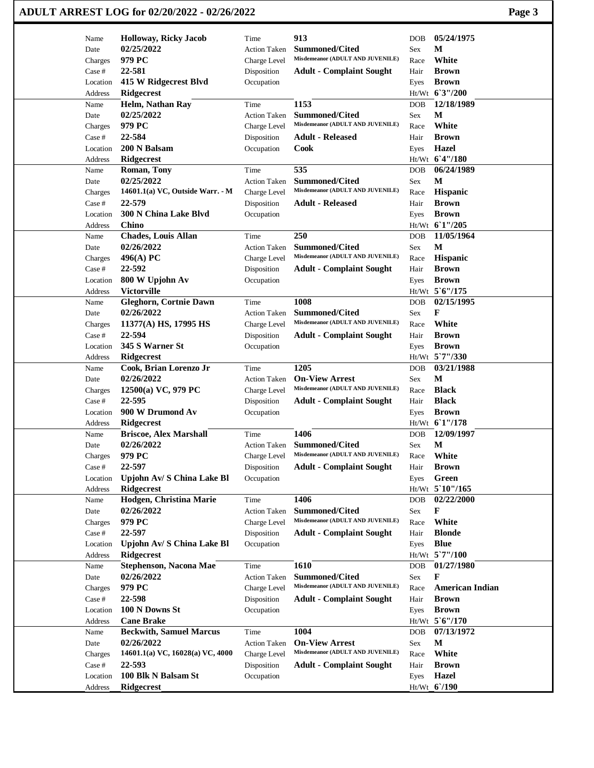|                   | ADULT ARREST LOG for 02/20/2022 - 02/26/2022 |                                     |                                                           |             | Page 3                 |
|-------------------|----------------------------------------------|-------------------------------------|-----------------------------------------------------------|-------------|------------------------|
| Name              | <b>Holloway, Ricky Jacob</b>                 | Time                                | 913                                                       | <b>DOB</b>  | 05/24/1975             |
| Date              | 02/25/2022                                   | <b>Action Taken</b>                 | <b>Summoned/Cited</b>                                     | Sex         | М                      |
| Charges           | 979 PC                                       | Charge Level                        | Misdemeanor (ADULT AND JUVENILE)                          | Race        | White                  |
| Case #            | 22-581                                       | Disposition                         | <b>Adult - Complaint Sought</b>                           | Hair        | <b>Brown</b>           |
| Location          | 415 W Ridgecrest Blvd                        | Occupation                          |                                                           | Eyes        | <b>Brown</b>           |
| Address           | <b>Ridgecrest</b>                            |                                     |                                                           |             | Ht/Wt 63"/200          |
| Name              | Helm, Nathan Ray                             | Time                                | 1153                                                      | <b>DOB</b>  | 12/18/1989             |
| Date              | 02/25/2022                                   | <b>Action Taken</b>                 | <b>Summoned/Cited</b>                                     | Sex         | М                      |
| Charges           | 979 PC                                       | Charge Level                        | Misdemeanor (ADULT AND JUVENILE)                          | Race        | White                  |
| Case #            | 22-584                                       | Disposition                         | <b>Adult - Released</b>                                   | Hair        | <b>Brown</b>           |
| Location          | 200 N Balsam                                 | Occupation                          | Cook                                                      | Eyes        | <b>Hazel</b>           |
| Address           | <b>Ridgecrest</b>                            |                                     |                                                           |             | Ht/Wt 6'4"/180         |
| Name              | Roman, Tony                                  | Time                                | 535                                                       | <b>DOB</b>  | 06/24/1989             |
| Date              | 02/25/2022                                   | <b>Action Taken</b>                 | <b>Summoned/Cited</b>                                     | Sex         | М                      |
| Charges           | 14601.1(a) VC, Outside Warr. - M             | Charge Level                        | Misdemeanor (ADULT AND JUVENILE)                          | Race        | <b>Hispanic</b>        |
| Case #            | 22-579                                       | Disposition                         | <b>Adult - Released</b>                                   | Hair        | <b>Brown</b>           |
| Location          | <b>300 N China Lake Blvd</b>                 | Occupation                          |                                                           | Eyes        | <b>Brown</b>           |
| Address           | <b>Chino</b>                                 |                                     |                                                           |             | Ht/Wt 61"/205          |
| Name              | <b>Chades, Louis Allan</b>                   | Time                                | 250                                                       | <b>DOB</b>  | 11/05/1964             |
| Date              | 02/26/2022                                   | <b>Action Taken</b>                 | <b>Summoned/Cited</b>                                     | Sex         | M                      |
| Charges           | 496(A) PC                                    | Charge Level                        | Misdemeanor (ADULT AND JUVENILE)                          | Race        | Hispanic               |
| Case #            | 22-592                                       | Disposition                         | <b>Adult - Complaint Sought</b>                           | Hair        | <b>Brown</b>           |
| Location          | 800 W Upjohn Av                              | Occupation                          |                                                           | Eyes        | <b>Brown</b>           |
| Address           | <b>Victorville</b>                           |                                     |                                                           |             | Ht/Wt 5'6"/175         |
| Name              | <b>Gleghorn, Cortnie Dawn</b>                | Time                                | 1008                                                      | <b>DOB</b>  | 02/15/1995             |
| Date              | 02/26/2022                                   | <b>Action Taken</b>                 | <b>Summoned/Cited</b>                                     | <b>Sex</b>  | F                      |
| Charges           | 11377(A) HS, 17995 HS                        | Charge Level                        | Misdemeanor (ADULT AND JUVENILE)                          | Race        | White                  |
| Case #            | 22-594                                       | Disposition                         | <b>Adult - Complaint Sought</b>                           | Hair        | <b>Brown</b>           |
| Location          | 345 S Warner St                              | Occupation                          |                                                           | Eyes        | <b>Brown</b>           |
| Address           | <b>Ridgecrest</b>                            |                                     | 1205                                                      |             | Ht/Wt 5`7"/330         |
| Name              | Cook, Brian Lorenzo Jr<br>02/26/2022         | Time                                |                                                           | <b>DOB</b>  | 03/21/1988<br>М        |
| Date              | 12500(a) VC, 979 PC                          | <b>Action Taken</b><br>Charge Level | <b>On-View Arrest</b><br>Misdemeanor (ADULT AND JUVENILE) | Sex<br>Race | <b>Black</b>           |
| Charges<br>Case # | 22-595                                       | Disposition                         | <b>Adult - Complaint Sought</b>                           | Hair        | <b>Black</b>           |
| Location          | 900 W Drumond Av                             | Occupation                          |                                                           | Eyes        | <b>Brown</b>           |
| Address           | <b>Ridgecrest</b>                            |                                     |                                                           |             | Ht/Wt 61"/178          |
| Name              | <b>Briscoe, Alex Marshall</b>                | Time                                | 1406                                                      | <b>DOB</b>  | 12/09/1997             |
| Date              | 02/26/2022                                   | <b>Action Taken</b>                 | Summoned/Cited                                            | Sex         | M                      |
| Charges           | 979 PC                                       | Charge Level                        | Misdemeanor (ADULT AND JUVENILE)                          | Race        | White                  |
| Case #            | 22-597                                       | Disposition                         | <b>Adult - Complaint Sought</b>                           | Hair        | <b>Brown</b>           |
| Location          | Upjohn Av/ S China Lake Bl                   | Occupation                          |                                                           | Eyes        | Green                  |
| Address           | Ridgecrest                                   |                                     |                                                           |             | Ht/Wt 5'10"/165        |
| Name              | Hodgen, Christina Marie                      | Time                                | 1406                                                      | <b>DOB</b>  | 02/22/2000             |
| Date              | 02/26/2022                                   | <b>Action Taken</b>                 | <b>Summoned/Cited</b>                                     | Sex         | F                      |
| Charges           | 979 PC                                       | Charge Level                        | Misdemeanor (ADULT AND JUVENILE)                          | Race        | White                  |
| Case #            | 22-597                                       | Disposition                         | <b>Adult - Complaint Sought</b>                           | Hair        | <b>Blonde</b>          |
| Location          | Upjohn Av/ S China Lake Bl                   | Occupation                          |                                                           | Eyes        | <b>Blue</b>            |
| Address           | <b>Ridgecrest</b>                            |                                     |                                                           |             | Ht/Wt 5'7"/100         |
| Name              | <b>Stephenson, Nacona Mae</b>                | Time                                | 1610                                                      | DOB         | 01/27/1980             |
| Date              | 02/26/2022                                   | Action Taken                        | <b>Summoned/Cited</b>                                     | Sex         | F                      |
| Charges           | 979 PC                                       | Charge Level                        | Misdemeanor (ADULT AND JUVENILE)                          | Race        | <b>American Indian</b> |
| Case #            | 22-598                                       | Disposition                         | <b>Adult - Complaint Sought</b>                           | Hair        | <b>Brown</b>           |
| Location          | 100 N Downs St                               | Occupation                          |                                                           | Eyes        | <b>Brown</b>           |
| Address           | <b>Cane Brake</b>                            |                                     |                                                           |             | Ht/Wt 5'6"/170         |
| Name              | <b>Beckwith, Samuel Marcus</b>               | Time                                | 1004                                                      | <b>DOB</b>  | 07/13/1972             |
| Date              | 02/26/2022                                   | <b>Action Taken</b>                 | <b>On-View Arrest</b>                                     | Sex         | M                      |
| Charges           | 14601.1(a) VC, 16028(a) VC, 4000             | Charge Level                        | Misdemeanor (ADULT AND JUVENILE)                          | Race        | White                  |
| Case #            | 22-593                                       | Disposition                         | <b>Adult - Complaint Sought</b>                           | Hair        | <b>Brown</b>           |
| Location          | 100 Blk N Balsam St                          | Occupation                          |                                                           | Eyes        | Hazel                  |
| Address           | Ridgecrest                                   |                                     |                                                           |             | Ht/Wt_6'/190           |